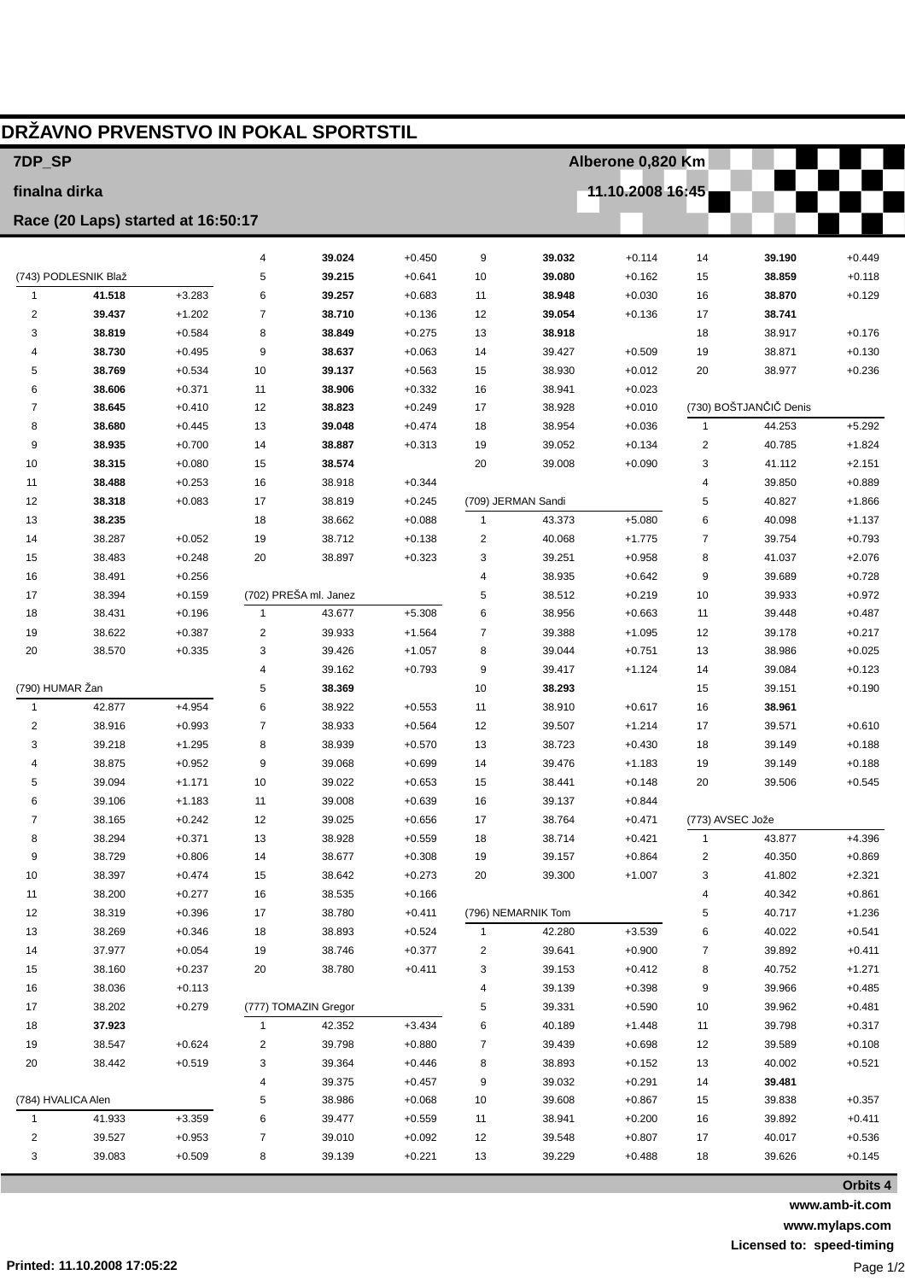| DRŽAVNO PRVENSTVO IN POKAL SPORTSTIL |                      |                      |                |                       |                      |          |                    |                      |                  |                        |                      |  |
|--------------------------------------|----------------------|----------------------|----------------|-----------------------|----------------------|----------|--------------------|----------------------|------------------|------------------------|----------------------|--|
| 7DP_SP                               |                      |                      |                |                       |                      |          | Alberone 0,820 Km  |                      |                  |                        |                      |  |
| finalna dirka                        |                      |                      |                |                       |                      |          | 11.10.2008 16:45   |                      |                  |                        |                      |  |
| Race (20 Laps) started at 16:50:17   |                      |                      |                |                       |                      |          |                    |                      |                  |                        |                      |  |
|                                      |                      |                      | $\overline{4}$ | 39.024                | $+0.450$             | 9        | 39.032             | $+0.114$             | 14               | 39.190                 | $+0.449$             |  |
|                                      | (743) PODLESNIK Blaž |                      | 5              | 39.215                | $+0.641$             | 10       | 39.080             | $+0.162$             | 15               | 38.859                 | $+0.118$             |  |
| $\mathbf{1}$                         | 41.518               | $+3.283$             | 6              | 39.257                | $+0.683$             | 11       | 38.948             | $+0.030$             | 16               | 38.870                 | $+0.129$             |  |
| $\overline{2}$                       | 39.437               | $+1.202$             | 7              | 38.710                | $+0.136$             | 12       | 39.054             | $+0.136$             | 17               | 38.741                 |                      |  |
| 3                                    | 38.819               | $+0.584$             | 8              | 38.849                | $+0.275$             | 13       | 38.918             |                      | 18               | 38.917                 | $+0.176$             |  |
| 4                                    | 38.730               | $+0.495$             | 9              | 38.637                | $+0.063$             | 14       | 39.427             | $+0.509$             | 19               | 38.871                 | $+0.130$             |  |
| 5                                    | 38.769               | $+0.534$             | 10             | 39.137                | $+0.563$             | 15       | 38.930             | $+0.012$             | 20               | 38.977                 | $+0.236$             |  |
| 6                                    | 38.606               | $+0.371$             | 11             | 38.906                | $+0.332$             | 16       | 38.941             | $+0.023$             |                  |                        |                      |  |
| 7                                    | 38.645               | $+0.410$             | 12             | 38.823                | $+0.249$             | 17       | 38.928             | $+0.010$             |                  | (730) BOŠTJANČIČ Denis |                      |  |
| 8                                    | 38.680               | $+0.445$             | 13             | 39.048                | $+0.474$             | 18       | 38.954             | $+0.036$             | $\mathbf{1}$     | 44.253                 | $+5.292$             |  |
| 9                                    | 38.935               | $+0.700$             | 14             | 38.887                | $+0.313$             | 19       | 39.052             | $+0.134$             | 2                | 40.785                 | $+1.824$             |  |
| 10                                   | 38.315               | $+0.080$             | 15             | 38.574                |                      | 20       | 39.008             | $+0.090$             | 3                | 41.112                 | $+2.151$             |  |
| 11                                   | 38.488               | $+0.253$             | 16             | 38.918                | $+0.344$             |          |                    |                      | 4                | 39.850                 | $+0.889$             |  |
| 12                                   | 38.318               | $+0.083$             | 17             | 38.819                | $+0.245$             |          | (709) JERMAN Sandi |                      | 5                | 40.827                 | $+1.866$             |  |
| 13<br>14                             | 38.235<br>38.287     | $+0.052$             | 18<br>19       | 38.662<br>38.712      | $+0.088$<br>$+0.138$ | 1<br>2   | 43.373<br>40.068   | $+5.080$<br>$+1.775$ | 6<br>7           | 40.098<br>39.754       | $+1.137$<br>$+0.793$ |  |
| 15                                   | 38.483               | $+0.248$             | 20             | 38.897                | $+0.323$             | 3        | 39.251             | $+0.958$             | 8                | 41.037                 | $+2.076$             |  |
| 16                                   | 38.491               | $+0.256$             |                |                       |                      | 4        | 38.935             | $+0.642$             | 9                | 39.689                 | $+0.728$             |  |
| 17                                   | 38.394               | $+0.159$             |                | (702) PREŠA ml. Janez |                      | 5        | 38.512             | $+0.219$             | 10               | 39.933                 | $+0.972$             |  |
| 18                                   | 38.431               | $+0.196$             | $\mathbf{1}$   | 43.677                | $+5.308$             | 6        | 38.956             | $+0.663$             | 11               | 39.448                 | $+0.487$             |  |
| 19                                   | 38.622               | $+0.387$             | $\overline{2}$ | 39.933                | $+1.564$             | 7        | 39.388             | $+1.095$             | 12               | 39.178                 | $+0.217$             |  |
| 20                                   | 38.570               | $+0.335$             | 3              | 39.426                | $+1.057$             | 8        | 39.044             | $+0.751$             | 13               | 38.986                 | $+0.025$             |  |
|                                      |                      |                      | $\overline{4}$ | 39.162                | $+0.793$             | 9        | 39.417             | $+1.124$             | 14               | 39.084                 | $+0.123$             |  |
| (790) HUMAR Žan                      |                      |                      | 5              | 38.369                |                      | 10       | 38.293             |                      | 15               | 39.151                 | $+0.190$             |  |
| $\mathbf{1}$                         | 42.877               | $+4.954$             | 6              | 38.922                | $+0.553$             | 11       | 38.910             | $+0.617$             | 16               | 38.961                 |                      |  |
| $\overline{2}$                       | 38.916               | $+0.993$             | $\overline{7}$ | 38.933                | $+0.564$             | 12       | 39.507             | $+1.214$             | 17               | 39.571                 | $+0.610$             |  |
| 3                                    | 39.218               | $+1.295$             | 8              | 38.939                | $+0.570$             | 13       | 38.723             | $+0.430$             | 18               | 39.149                 | $+0.188$             |  |
| 4                                    | 38.875               | $+0.952$             | 9              | 39.068                | $+0.699$             | 14       | 39.476             | $+1.183$             | 19               | 39.149                 | $+0.188$             |  |
| 5                                    | 39.094               | $+1.171$             | 10             | 39.022                | $+0.653$             | 15       | 38.441             | $+0.148$             | 20               | 39.506                 | $+0.545$             |  |
|                                      | 39.106               | $+1.183$             | 11             | 39.008                | $+0.639$             | 16       | 39.137             | $+0.844$             |                  |                        |                      |  |
| 7                                    | 38.165               | $+0.242$             | 12             | 39.025                | $+0.656$             | 17       | 38.764             | $+0.471$             | (773) AVSEC Jože |                        |                      |  |
| 8                                    | 38.294               | $+0.371$             | 13             | 38.928                | $+0.559$             | 18       | 38.714             | $+0.421$             | $\mathbf{1}$     | 43.877                 | $+4.396$             |  |
| 9<br>10                              | 38.729<br>38.397     | $+0.806$<br>$+0.474$ | 14<br>15       | 38.677<br>38.642      | $+0.308$             | 19<br>20 | 39.157<br>39.300   | $+0.864$             | 2                | 40.350                 | $+0.869$<br>$+2.321$ |  |
| 11                                   | 38.200               | $+0.277$             | 16             | 38.535                | $+0.273$<br>$+0.166$ |          |                    | $+1.007$             | 3<br>4           | 41.802<br>40.342       | $+0.861$             |  |
| 12                                   | 38.319               | $+0.396$             | 17             | 38.780                | $+0.411$             |          | (796) NEMARNIK Tom |                      | 5                | 40.717                 | $+1.236$             |  |
| 13                                   | 38.269               | $+0.346$             | 18             | 38.893                | $+0.524$             | 1        | 42.280             | $+3.539$             | 6                | 40.022                 | $+0.541$             |  |
| 14                                   | 37.977               | $+0.054$             | 19             | 38.746                | $+0.377$             | 2        | 39.641             | $+0.900$             | 7                | 39.892                 | $+0.411$             |  |
| 15                                   | 38.160               | $+0.237$             | 20             | 38.780                | $+0.411$             | 3        | 39.153             | $+0.412$             | 8                | 40.752                 | $+1.271$             |  |
| 16                                   | 38.036               | $+0.113$             |                |                       |                      | 4        | 39.139             | $+0.398$             | 9                | 39.966                 | $+0.485$             |  |
| 17                                   | 38.202               | $+0.279$             |                | (777) TOMAZIN Gregor  |                      | 5        | 39.331             | $+0.590$             | 10               | 39.962                 | $+0.481$             |  |
| 18                                   | 37.923               |                      | $\mathbf{1}$   | 42.352                | $+3.434$             | 6        | 40.189             | $+1.448$             | 11               | 39.798                 | $+0.317$             |  |
| 19                                   | 38.547               | $+0.624$             | 2              | 39.798                | $+0.880$             | 7        | 39.439             | $+0.698$             | 12               | 39.589                 | $+0.108$             |  |
| 20                                   | 38.442               | $+0.519$             | 3              | 39.364                | $+0.446$             | 8        | 38.893             | $+0.152$             | 13               | 40.002                 | $+0.521$             |  |
|                                      |                      |                      | 4              | 39.375                | $+0.457$             | 9        | 39.032             | $+0.291$             | 14               | 39.481                 |                      |  |
| (784) HVALICA Alen                   |                      |                      | 5              | 38.986                | $+0.068$             | 10       | 39.608             | $+0.867$             | 15               | 39.838                 | $+0.357$             |  |
| $\mathbf{1}$                         | 41.933               | $+3.359$             | 6              | 39.477                | $+0.559$             | 11       | 38.941             | $+0.200$             | 16               | 39.892                 | $+0.411$             |  |
| 2                                    | 39.527               | $+0.953$             | $\overline{7}$ | 39.010                | $+0.092$             | 12       | 39.548             | $+0.807$             | 17               | 40.017                 | $+0.536$             |  |
| 3                                    | 39.083               | $+0.509$             | 8              | 39.139                | $+0.221$             | 13       | 39.229             | $+0.488$             | 18               | 39.626                 | $+0.145$<br>$\sim$   |  |

**Orbits 4 www.amb-it.com www.mylaps.com Licensed to: speed-timing**